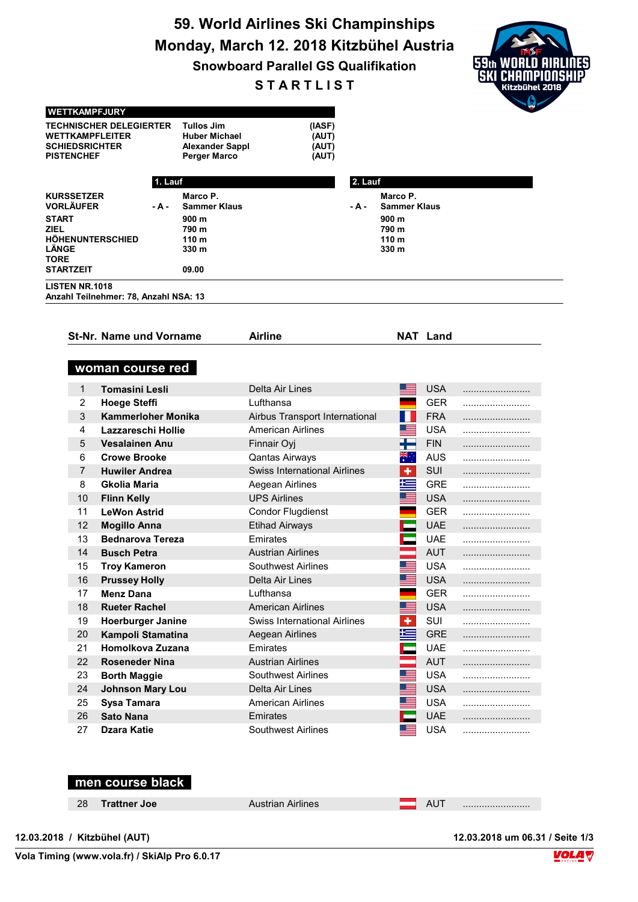## 59. World Airlines Ski Champinships Monday, March 12. 2018 Kitzbühel Austria

Snowboard Parallel GS Qualifikation

**STARTLIST** 



| <b>SCHIEDSRICHTER</b><br><b>PISTENCHEF</b> | <b>TECHNISCHER DELEGIERTER</b><br>WETTKAMPFLEITER | <b>Tullos Jim</b><br>Huber Michael<br><b>Alexander Sappl</b><br><b>Perger Marco</b> | (IASF)<br>(AUT)<br>(AUT)<br>(AUT)   |         |                                 |                 |  |
|--------------------------------------------|---------------------------------------------------|-------------------------------------------------------------------------------------|-------------------------------------|---------|---------------------------------|-----------------|--|
|                                            | 1. Lauf                                           |                                                                                     |                                     | 2. Lauf |                                 |                 |  |
| <b>KURSSETZER</b><br><b>VORLÄUFER</b>      | - A -                                             | Marco P.<br><b>Sammer Klaus</b>                                                     |                                     | - A -   | Marco P.<br><b>Sammer Klaus</b> |                 |  |
| <b>START</b>                               |                                                   | 900 m                                                                               |                                     |         | 900 m                           |                 |  |
| ZIEL<br>LÄNGE<br>TORE                      | <b>HOHENUNTERSCHIED</b>                           | 790 m<br>110 <sub>m</sub><br>330 m                                                  |                                     |         | 790 m<br>110 m<br>330 m         |                 |  |
| <b>STARTZEIT</b>                           |                                                   | 09.00                                                                               |                                     |         |                                 |                 |  |
| <b>LISTEN NR.1018</b>                      |                                                   |                                                                                     |                                     |         |                                 |                 |  |
|                                            | Anzahl Teilnehmer: 78, Anzahl NSA: 13             |                                                                                     |                                     |         |                                 |                 |  |
|                                            |                                                   |                                                                                     |                                     |         |                                 |                 |  |
|                                            | <b>St-Nr. Name und Vorname</b>                    |                                                                                     | <b>Airline</b>                      |         |                                 | <b>NAT Land</b> |  |
|                                            |                                                   |                                                                                     |                                     |         |                                 |                 |  |
|                                            | woman course red                                  |                                                                                     |                                     |         |                                 |                 |  |
|                                            |                                                   |                                                                                     |                                     |         |                                 |                 |  |
| $\mathbf{1}$                               | <b>Tomasini Lesli</b>                             |                                                                                     | Delta Air Lines                     |         |                                 | <b>USA</b>      |  |
| 2                                          | <b>Hoege Steffi</b>                               |                                                                                     | Lufthansa                           |         |                                 | <b>GER</b>      |  |
| 3                                          | <b>Kammerloher Monika</b>                         |                                                                                     | Airbus Transport International      |         |                                 | <b>FRA</b>      |  |
| 4                                          | Lazzareschi Hollie                                |                                                                                     | <b>American Airlines</b>            |         |                                 | <b>USA</b>      |  |
| 5                                          | <b>Vesalainen Anu</b>                             |                                                                                     | Finnair Oyj                         |         | ╈═                              | <b>FIN</b>      |  |
| 6                                          | <b>Crowe Brooke</b>                               |                                                                                     | <b>Qantas Airways</b>               |         | ৠ€়                             | <b>AUS</b>      |  |
| 7                                          | <b>Huwiler Andrea</b>                             |                                                                                     | <b>Swiss International Airlines</b> |         | ٠                               | <b>SUI</b>      |  |
| 8                                          | <b>Gkolia Maria</b>                               |                                                                                     | Aegean Airlines                     |         | 一                               | <b>GRE</b>      |  |
| 10                                         | <b>Flinn Kelly</b>                                |                                                                                     | <b>UPS Airlines</b>                 |         |                                 | <b>USA</b>      |  |
| 11                                         | <b>LeWon Astrid</b>                               |                                                                                     | <b>Condor Flugdienst</b>            |         |                                 | <b>GER</b>      |  |
| 12                                         | <b>Mogillo Anna</b>                               |                                                                                     | <b>Etihad Airways</b>               |         |                                 | <b>UAE</b>      |  |
| 13                                         | <b>Bednarova Tereza</b>                           |                                                                                     | Emirates                            |         |                                 | <b>UAE</b>      |  |
| 14                                         | <b>Busch Petra</b>                                |                                                                                     | <b>Austrian Airlines</b>            |         |                                 | <b>AUT</b>      |  |
| 15                                         | <b>Troy Kameron</b>                               |                                                                                     | <b>Southwest Airlines</b>           |         |                                 | <b>USA</b>      |  |
| 16                                         | <b>Prussey Holly</b>                              |                                                                                     | Delta Air Lines                     |         |                                 | <b>USA</b>      |  |
| 17                                         | <b>Menz Dana</b>                                  |                                                                                     | Lufthansa                           |         |                                 | <b>GER</b>      |  |
| 18                                         | <b>Rueter Rachel</b>                              |                                                                                     | <b>American Airlines</b>            |         |                                 | <b>USA</b>      |  |
| 19                                         | <b>Hoerburger Janine</b>                          |                                                                                     | <b>Swiss International Airlines</b> |         |                                 | SUI             |  |
| 20                                         | Kampoli Stamatina                                 |                                                                                     | Aegean Airlines                     |         |                                 | <b>GRE</b>      |  |
| 21                                         | Homolkova Zuzana                                  |                                                                                     | Emirates                            |         |                                 | <b>UAE</b>      |  |
| 22                                         | <b>Roseneder Nina</b>                             |                                                                                     | <b>Austrian Airlines</b>            |         |                                 | <b>AUT</b>      |  |
| 23                                         | <b>Borth Maggie</b>                               |                                                                                     | <b>Southwest Airlines</b>           |         |                                 | <b>USA</b>      |  |
| 24                                         | <b>Johnson Mary Lou</b>                           |                                                                                     | Delta Air Lines                     |         |                                 | <b>USA</b>      |  |
| 25                                         | Sysa Tamara                                       |                                                                                     | <b>American Airlines</b>            |         |                                 | <b>USA</b>      |  |
| 26                                         | <b>Sato Nana</b>                                  |                                                                                     | Emirates                            |         |                                 | <b>UAE</b>      |  |
| 27                                         | <b>Dzara Katie</b>                                |                                                                                     | Southwest Airlines                  |         |                                 | <b>USA</b>      |  |

|    | men course black |                          |    |  |
|----|------------------|--------------------------|----|--|
| 28 | Trattner Joe     | <b>Austrian Airlines</b> | AU |  |
|    |                  |                          |    |  |

WETTKAMPFJURY

12.03.2018 / Kitzbühel (AUT) 12.03.2018 um 06.31 / Seite 1/3